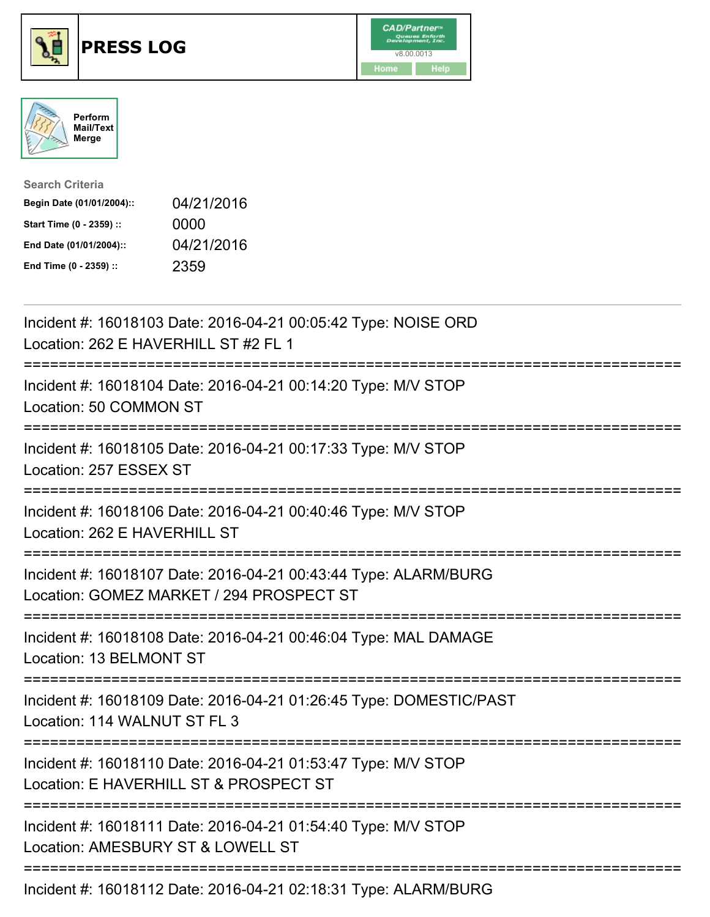





| <b>Search Criteria</b>    |            |
|---------------------------|------------|
| Begin Date (01/01/2004):: | 04/21/2016 |
| Start Time (0 - 2359) ::  | 0000       |
| End Date (01/01/2004)::   | 04/21/2016 |
| End Time (0 - 2359) ::    | 2359       |

| Incident #: 16018103 Date: 2016-04-21 00:05:42 Type: NOISE ORD<br>Location: 262 E HAVERHILL ST #2 FL 1                                |
|---------------------------------------------------------------------------------------------------------------------------------------|
| Incident #: 16018104 Date: 2016-04-21 00:14:20 Type: M/V STOP<br>Location: 50 COMMON ST<br>----------                                 |
| Incident #: 16018105 Date: 2016-04-21 00:17:33 Type: M/V STOP<br>Location: 257 ESSEX ST<br>===========                                |
| Incident #: 16018106 Date: 2016-04-21 00:40:46 Type: M/V STOP<br>Location: 262 E HAVERHILL ST<br>===========                          |
| Incident #: 16018107 Date: 2016-04-21 00:43:44 Type: ALARM/BURG<br>Location: GOMEZ MARKET / 294 PROSPECT ST                           |
| Incident #: 16018108 Date: 2016-04-21 00:46:04 Type: MAL DAMAGE<br>Location: 13 BELMONT ST                                            |
| Incident #: 16018109 Date: 2016-04-21 01:26:45 Type: DOMESTIC/PAST<br>Location: 114 WALNUT ST FL 3                                    |
| Incident #: 16018110 Date: 2016-04-21 01:53:47 Type: M/V STOP<br>Location: E HAVERHILL ST & PROSPECT ST                               |
| -------------------------------<br>Incident #: 16018111 Date: 2016-04-21 01:54:40 Type: M/V STOP<br>Location: AMESBURY ST & LOWELL ST |
| Incident #: 16018112 Date: 2016-04-21 02:18:31 Type: ALARM/BURG                                                                       |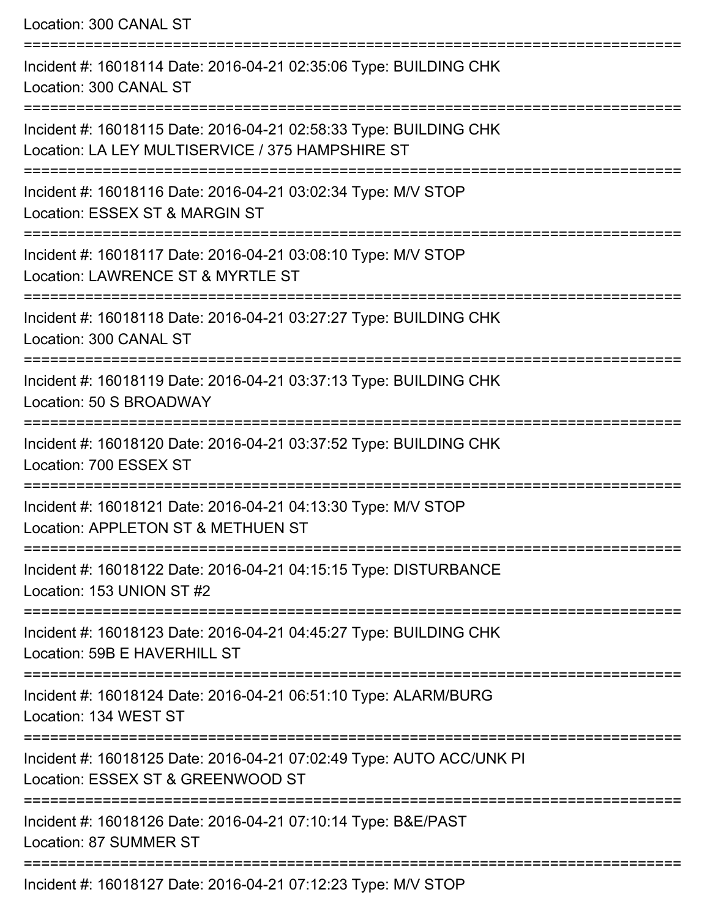Location: 300 CANAL ST =========================================================================== Incident #: 16018114 Date: 2016-04-21 02:35:06 Type: BUILDING CHK Location: 300 CANAL ST =========================================================================== Incident #: 16018115 Date: 2016-04-21 02:58:33 Type: BUILDING CHK Location: LA LEY MULTISERVICE / 375 HAMPSHIRE ST =========================================================================== Incident #: 16018116 Date: 2016-04-21 03:02:34 Type: M/V STOP Location: ESSEX ST & MARGIN ST =========================================================================== Incident #: 16018117 Date: 2016-04-21 03:08:10 Type: M/V STOP Location: LAWRENCE ST & MYRTLE ST =========================================================================== Incident #: 16018118 Date: 2016-04-21 03:27:27 Type: BUILDING CHK Location: 300 CANAL ST =========================================================================== Incident #: 16018119 Date: 2016-04-21 03:37:13 Type: BUILDING CHK Location: 50 S BROADWAY =========================================================================== Incident #: 16018120 Date: 2016-04-21 03:37:52 Type: BUILDING CHK Location: 700 ESSEX ST =========================================================================== Incident #: 16018121 Date: 2016-04-21 04:13:30 Type: M/V STOP Location: APPLETON ST & METHUEN ST =========================================================================== Incident #: 16018122 Date: 2016-04-21 04:15:15 Type: DISTURBANCE Location: 153 UNION ST #2 =========================================================================== Incident #: 16018123 Date: 2016-04-21 04:45:27 Type: BUILDING CHK Location: 59B E HAVERHILL ST =========================================================================== Incident #: 16018124 Date: 2016-04-21 06:51:10 Type: ALARM/BURG Location: 134 WEST ST =========================================================================== Incident #: 16018125 Date: 2016-04-21 07:02:49 Type: AUTO ACC/UNK PI Location: ESSEX ST & GREENWOOD ST =========================================================================== Incident #: 16018126 Date: 2016-04-21 07:10:14 Type: B&E/PAST Location: 87 SUMMER ST ===========================================================================

Incident #: 16018127 Date: 2016-04-21 07:12:23 Type: M/V STOP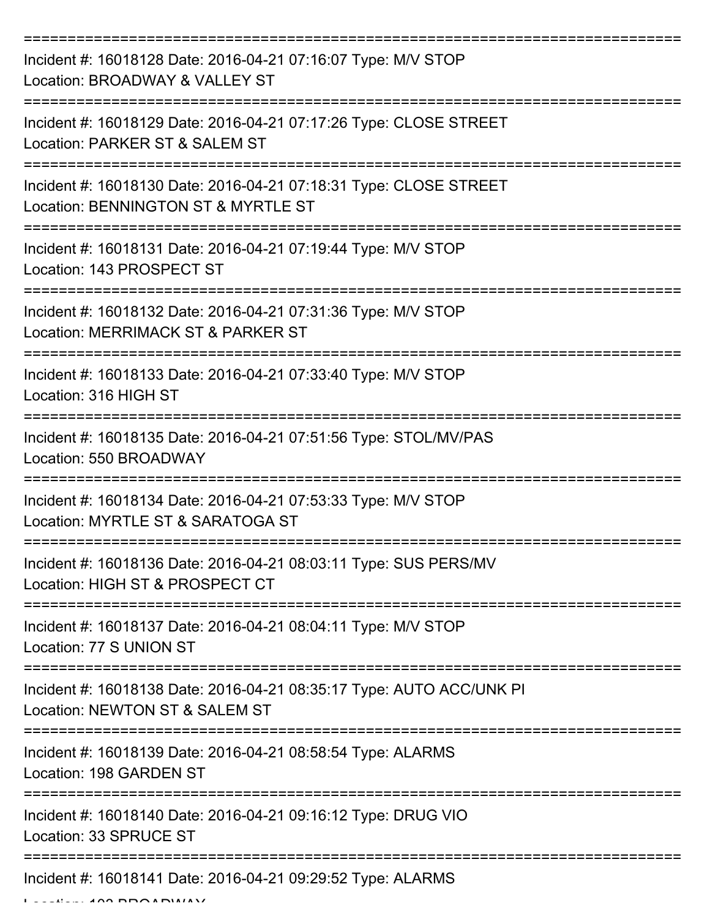| Incident #: 16018128 Date: 2016-04-21 07:16:07 Type: M/V STOP<br>Location: BROADWAY & VALLEY ST          |
|----------------------------------------------------------------------------------------------------------|
| Incident #: 16018129 Date: 2016-04-21 07:17:26 Type: CLOSE STREET<br>Location: PARKER ST & SALEM ST      |
| Incident #: 16018130 Date: 2016-04-21 07:18:31 Type: CLOSE STREET<br>Location: BENNINGTON ST & MYRTLE ST |
| Incident #: 16018131 Date: 2016-04-21 07:19:44 Type: M/V STOP<br>Location: 143 PROSPECT ST               |
| Incident #: 16018132 Date: 2016-04-21 07:31:36 Type: M/V STOP<br>Location: MERRIMACK ST & PARKER ST      |
| Incident #: 16018133 Date: 2016-04-21 07:33:40 Type: M/V STOP<br>Location: 316 HIGH ST                   |
| Incident #: 16018135 Date: 2016-04-21 07:51:56 Type: STOL/MV/PAS<br>Location: 550 BROADWAY               |
| Incident #: 16018134 Date: 2016-04-21 07:53:33 Type: M/V STOP<br>Location: MYRTLE ST & SARATOGA ST       |
| Incident #: 16018136 Date: 2016-04-21 08:03:11 Type: SUS PERS/MV<br>Location: HIGH ST & PROSPECT CT      |
| Incident #: 16018137 Date: 2016-04-21 08:04:11 Type: M/V STOP<br>Location: 77 S UNION ST                 |
| Incident #: 16018138 Date: 2016-04-21 08:35:17 Type: AUTO ACC/UNK PI<br>Location: NEWTON ST & SALEM ST   |
| Incident #: 16018139 Date: 2016-04-21 08:58:54 Type: ALARMS<br>Location: 198 GARDEN ST                   |
| Incident #: 16018140 Date: 2016-04-21 09:16:12 Type: DRUG VIO<br>Location: 33 SPRUCE ST                  |
| Incident #: 16018141 Date: 2016-04-21 09:29:52 Type: ALARMS                                              |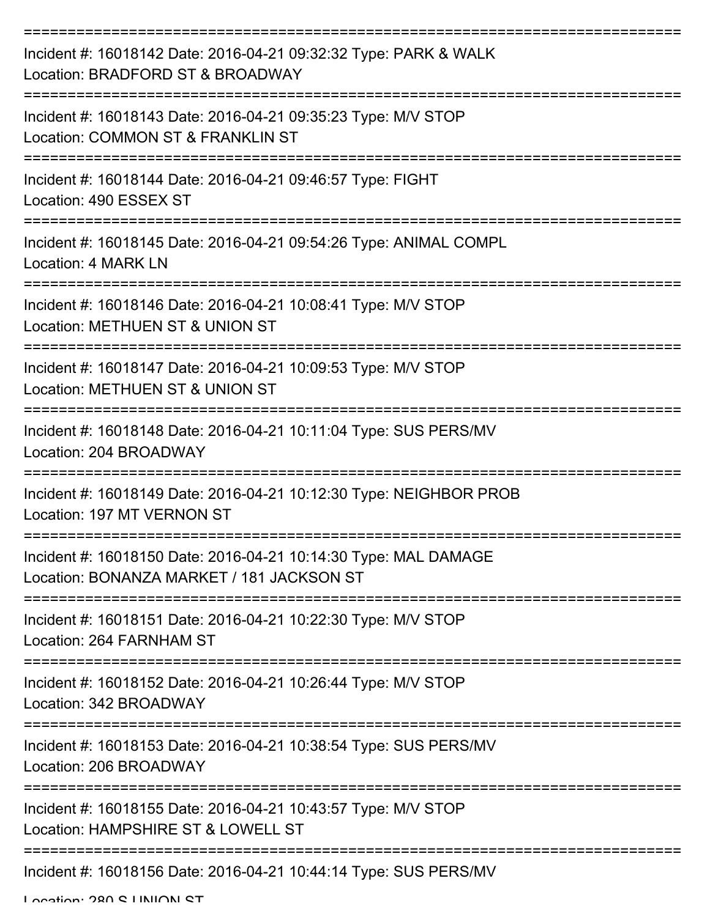| Incident #: 16018142 Date: 2016-04-21 09:32:32 Type: PARK & WALK<br>Location: BRADFORD ST & BROADWAY         |
|--------------------------------------------------------------------------------------------------------------|
| Incident #: 16018143 Date: 2016-04-21 09:35:23 Type: M/V STOP<br>Location: COMMON ST & FRANKLIN ST           |
| Incident #: 16018144 Date: 2016-04-21 09:46:57 Type: FIGHT<br>Location: 490 ESSEX ST                         |
| Incident #: 16018145 Date: 2016-04-21 09:54:26 Type: ANIMAL COMPL<br><b>Location: 4 MARK LN</b>              |
| Incident #: 16018146 Date: 2016-04-21 10:08:41 Type: M/V STOP<br>Location: METHUEN ST & UNION ST             |
| Incident #: 16018147 Date: 2016-04-21 10:09:53 Type: M/V STOP<br>Location: METHUEN ST & UNION ST             |
| Incident #: 16018148 Date: 2016-04-21 10:11:04 Type: SUS PERS/MV<br>Location: 204 BROADWAY                   |
| Incident #: 16018149 Date: 2016-04-21 10:12:30 Type: NEIGHBOR PROB<br>Location: 197 MT VERNON ST             |
| Incident #: 16018150 Date: 2016-04-21 10:14:30 Type: MAL DAMAGE<br>Location: BONANZA MARKET / 181 JACKSON ST |
| Incident #: 16018151 Date: 2016-04-21 10:22:30 Type: M/V STOP<br>Location: 264 FARNHAM ST                    |
| Incident #: 16018152 Date: 2016-04-21 10:26:44 Type: M/V STOP<br>Location: 342 BROADWAY                      |
| Incident #: 16018153 Date: 2016-04-21 10:38:54 Type: SUS PERS/MV<br>Location: 206 BROADWAY                   |
| Incident #: 16018155 Date: 2016-04-21 10:43:57 Type: M/V STOP<br>Location: HAMPSHIRE ST & LOWELL ST          |
| Incident #: 16018156 Date: 2016-04-21 10:44:14 Type: SUS PERS/MV                                             |

Location: 280 C LINIION CT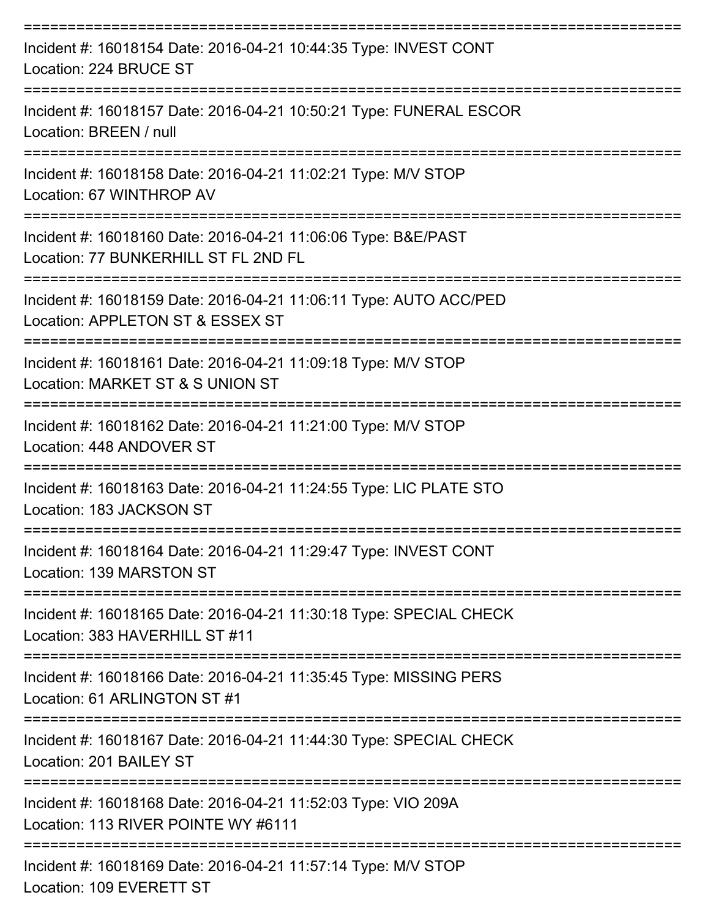| Incident #: 16018154 Date: 2016-04-21 10:44:35 Type: INVEST CONT<br>Location: 224 BRUCE ST            |
|-------------------------------------------------------------------------------------------------------|
| Incident #: 16018157 Date: 2016-04-21 10:50:21 Type: FUNERAL ESCOR<br>Location: BREEN / null          |
| Incident #: 16018158 Date: 2016-04-21 11:02:21 Type: M/V STOP<br>Location: 67 WINTHROP AV             |
| Incident #: 16018160 Date: 2016-04-21 11:06:06 Type: B&E/PAST<br>Location: 77 BUNKERHILL ST FL 2ND FL |
| Incident #: 16018159 Date: 2016-04-21 11:06:11 Type: AUTO ACC/PED<br>Location: APPLETON ST & ESSEX ST |
| Incident #: 16018161 Date: 2016-04-21 11:09:18 Type: M/V STOP<br>Location: MARKET ST & S UNION ST     |
| Incident #: 16018162 Date: 2016-04-21 11:21:00 Type: M/V STOP<br>Location: 448 ANDOVER ST             |
| Incident #: 16018163 Date: 2016-04-21 11:24:55 Type: LIC PLATE STO<br>Location: 183 JACKSON ST        |
| Incident #: 16018164 Date: 2016-04-21 11:29:47 Type: INVEST CONT<br>Location: 139 MARSTON ST          |
| Incident #: 16018165 Date: 2016-04-21 11:30:18 Type: SPECIAL CHECK<br>Location: 383 HAVERHILL ST #11  |
| Incident #: 16018166 Date: 2016-04-21 11:35:45 Type: MISSING PERS<br>Location: 61 ARLINGTON ST #1     |
| Incident #: 16018167 Date: 2016-04-21 11:44:30 Type: SPECIAL CHECK<br>Location: 201 BAILEY ST         |
| Incident #: 16018168 Date: 2016-04-21 11:52:03 Type: VIO 209A<br>Location: 113 RIVER POINTE WY #6111  |
| Incident #: 16018169 Date: 2016-04-21 11:57:14 Type: M/V STOP<br>Location: 100 EVEDETT CT             |

Location: 109 EVERETT ST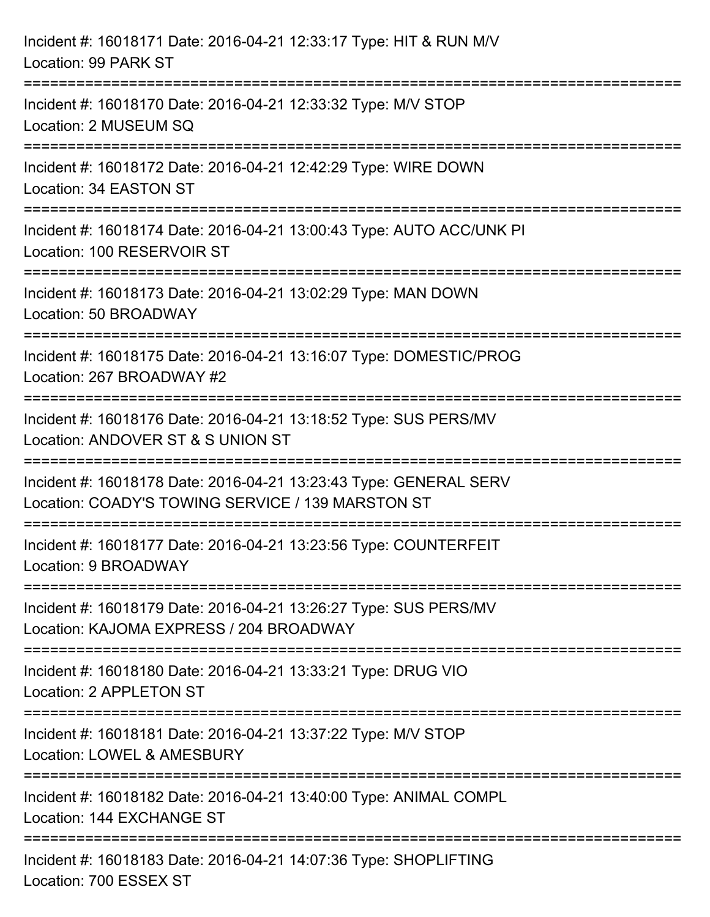| Incident #: 16018171 Date: 2016-04-21 12:33:17 Type: HIT & RUN M/V<br>Location: 99 PARK ST                             |
|------------------------------------------------------------------------------------------------------------------------|
| Incident #: 16018170 Date: 2016-04-21 12:33:32 Type: M/V STOP<br>Location: 2 MUSEUM SQ                                 |
| Incident #: 16018172 Date: 2016-04-21 12:42:29 Type: WIRE DOWN<br>Location: 34 EASTON ST                               |
| Incident #: 16018174 Date: 2016-04-21 13:00:43 Type: AUTO ACC/UNK PI<br>Location: 100 RESERVOIR ST                     |
| Incident #: 16018173 Date: 2016-04-21 13:02:29 Type: MAN DOWN<br>Location: 50 BROADWAY                                 |
| Incident #: 16018175 Date: 2016-04-21 13:16:07 Type: DOMESTIC/PROG<br>Location: 267 BROADWAY #2                        |
| Incident #: 16018176 Date: 2016-04-21 13:18:52 Type: SUS PERS/MV<br>Location: ANDOVER ST & S UNION ST                  |
| Incident #: 16018178 Date: 2016-04-21 13:23:43 Type: GENERAL SERV<br>Location: COADY'S TOWING SERVICE / 139 MARSTON ST |
| Incident #: 16018177 Date: 2016-04-21 13:23:56 Type: COUNTERFEIT<br>Location: 9 BROADWAY                               |
| Incident #: 16018179 Date: 2016-04-21 13:26:27 Type: SUS PERS/MV<br>Location: KAJOMA EXPRESS / 204 BROADWAY            |
| Incident #: 16018180 Date: 2016-04-21 13:33:21 Type: DRUG VIO<br>Location: 2 APPLETON ST                               |
| Incident #: 16018181 Date: 2016-04-21 13:37:22 Type: M/V STOP<br>Location: LOWEL & AMESBURY                            |
| Incident #: 16018182 Date: 2016-04-21 13:40:00 Type: ANIMAL COMPL<br>Location: 144 EXCHANGE ST                         |
| Incident #: 16018183 Date: 2016-04-21 14:07:36 Type: SHOPLIFTING<br>Location: 700 ESSEX ST                             |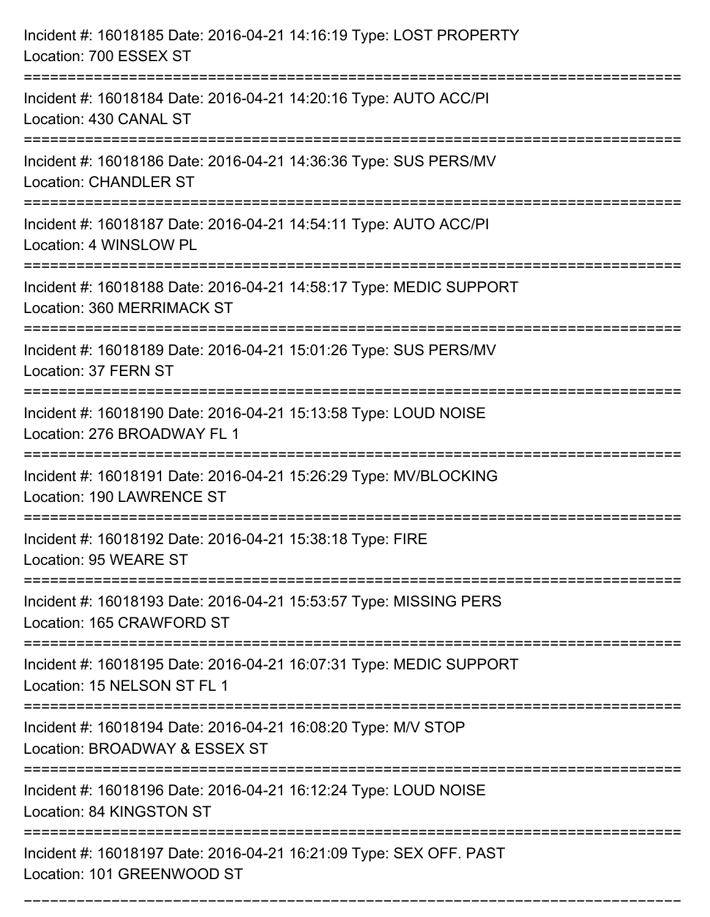| Incident #: 16018185 Date: 2016-04-21 14:16:19 Type: LOST PROPERTY<br>Location: 700 ESSEX ST                                          |
|---------------------------------------------------------------------------------------------------------------------------------------|
| Incident #: 16018184 Date: 2016-04-21 14:20:16 Type: AUTO ACC/PI<br>Location: 430 CANAL ST                                            |
| Incident #: 16018186 Date: 2016-04-21 14:36:36 Type: SUS PERS/MV<br><b>Location: CHANDLER ST</b>                                      |
| Incident #: 16018187 Date: 2016-04-21 14:54:11 Type: AUTO ACC/PI<br>Location: 4 WINSLOW PL                                            |
| Incident #: 16018188 Date: 2016-04-21 14:58:17 Type: MEDIC SUPPORT<br>Location: 360 MERRIMACK ST                                      |
| Incident #: 16018189 Date: 2016-04-21 15:01:26 Type: SUS PERS/MV<br>Location: 37 FERN ST                                              |
| Incident #: 16018190 Date: 2016-04-21 15:13:58 Type: LOUD NOISE<br>Location: 276 BROADWAY FL 1<br>:================================== |
| Incident #: 16018191 Date: 2016-04-21 15:26:29 Type: MV/BLOCKING<br>Location: 190 LAWRENCE ST                                         |
| Incident #: 16018192 Date: 2016-04-21 15:38:18 Type: FIRE<br>Location: 95 WEARE ST                                                    |
| Incident #: 16018193 Date: 2016-04-21 15:53:57 Type: MISSING PERS<br>Location: 165 CRAWFORD ST                                        |
| =============================<br>Incident #: 16018195 Date: 2016-04-21 16:07:31 Type: MEDIC SUPPORT<br>Location: 15 NELSON ST FL 1    |
| Incident #: 16018194 Date: 2016-04-21 16:08:20 Type: M/V STOP<br>Location: BROADWAY & ESSEX ST                                        |
| Incident #: 16018196 Date: 2016-04-21 16:12:24 Type: LOUD NOISE<br>Location: 84 KINGSTON ST                                           |
| Incident #: 16018197 Date: 2016-04-21 16:21:09 Type: SEX OFF. PAST<br>Location: 101 GREENWOOD ST                                      |

===========================================================================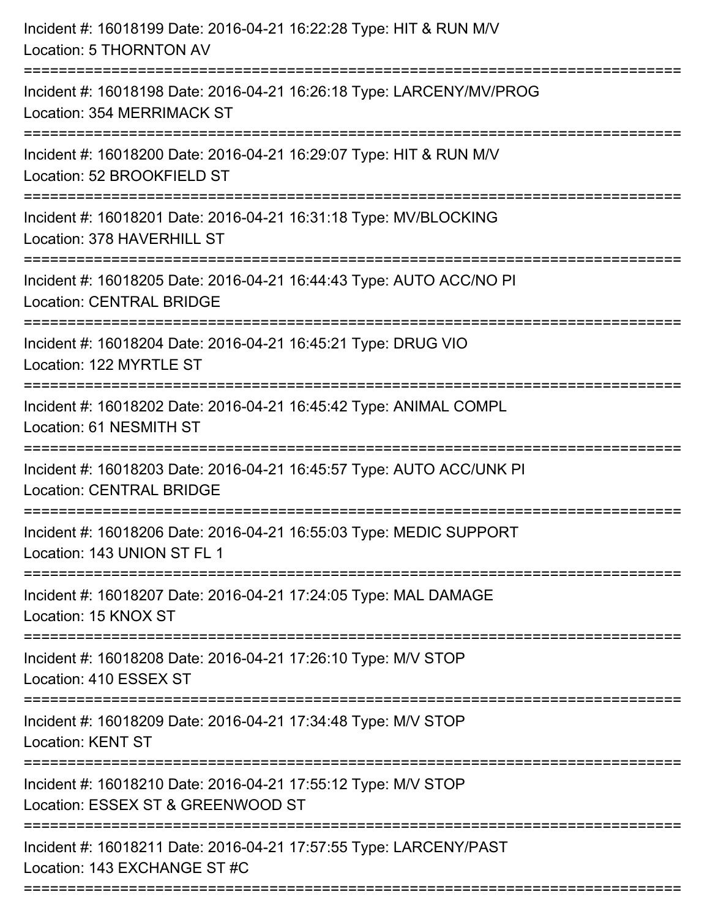| Incident #: 16018199 Date: 2016-04-21 16:22:28 Type: HIT & RUN M/V<br>Location: 5 THORNTON AV             |
|-----------------------------------------------------------------------------------------------------------|
| Incident #: 16018198 Date: 2016-04-21 16:26:18 Type: LARCENY/MV/PROG<br><b>Location: 354 MERRIMACK ST</b> |
| Incident #: 16018200 Date: 2016-04-21 16:29:07 Type: HIT & RUN M/V<br>Location: 52 BROOKFIELD ST          |
| Incident #: 16018201 Date: 2016-04-21 16:31:18 Type: MV/BLOCKING<br>Location: 378 HAVERHILL ST            |
| Incident #: 16018205 Date: 2016-04-21 16:44:43 Type: AUTO ACC/NO PI<br><b>Location: CENTRAL BRIDGE</b>    |
| Incident #: 16018204 Date: 2016-04-21 16:45:21 Type: DRUG VIO<br>Location: 122 MYRTLE ST                  |
| Incident #: 16018202 Date: 2016-04-21 16:45:42 Type: ANIMAL COMPL<br>Location: 61 NESMITH ST              |
| Incident #: 16018203 Date: 2016-04-21 16:45:57 Type: AUTO ACC/UNK PI<br><b>Location: CENTRAL BRIDGE</b>   |
| Incident #: 16018206 Date: 2016-04-21 16:55:03 Type: MEDIC SUPPORT<br>Location: 143 UNION ST FL 1         |
| Incident #: 16018207 Date: 2016-04-21 17:24:05 Type: MAL DAMAGE<br>Location: 15 KNOX ST                   |
| Incident #: 16018208 Date: 2016-04-21 17:26:10 Type: M/V STOP<br>Location: 410 ESSEX ST                   |
| Incident #: 16018209 Date: 2016-04-21 17:34:48 Type: M/V STOP<br><b>Location: KENT ST</b>                 |
| Incident #: 16018210 Date: 2016-04-21 17:55:12 Type: M/V STOP<br>Location: ESSEX ST & GREENWOOD ST        |
| Incident #: 16018211 Date: 2016-04-21 17:57:55 Type: LARCENY/PAST<br>Location: 143 EXCHANGE ST #C         |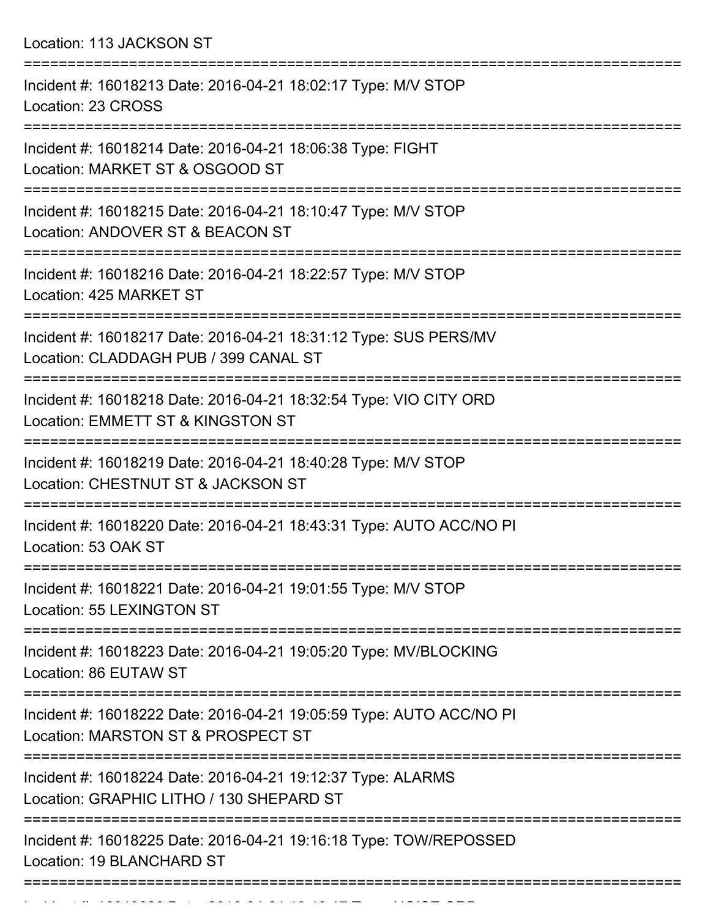Location: 113 JACKSON ST

| Incident #: 16018213 Date: 2016-04-21 18:02:17 Type: M/V STOP<br>Location: 23 CROSS                       |
|-----------------------------------------------------------------------------------------------------------|
| Incident #: 16018214 Date: 2016-04-21 18:06:38 Type: FIGHT<br>Location: MARKET ST & OSGOOD ST             |
| Incident #: 16018215 Date: 2016-04-21 18:10:47 Type: M/V STOP<br>Location: ANDOVER ST & BEACON ST         |
| Incident #: 16018216 Date: 2016-04-21 18:22:57 Type: M/V STOP<br>Location: 425 MARKET ST                  |
| Incident #: 16018217 Date: 2016-04-21 18:31:12 Type: SUS PERS/MV<br>Location: CLADDAGH PUB / 399 CANAL ST |
| Incident #: 16018218 Date: 2016-04-21 18:32:54 Type: VIO CITY ORD<br>Location: EMMETT ST & KINGSTON ST    |
| Incident #: 16018219 Date: 2016-04-21 18:40:28 Type: M/V STOP<br>Location: CHESTNUT ST & JACKSON ST       |
| Incident #: 16018220 Date: 2016-04-21 18:43:31 Type: AUTO ACC/NO PI<br>Location: 53 OAK ST                |
| Incident #: 16018221 Date: 2016-04-21 19:01:55 Type: M/V STOP<br>Location: 55 LEXINGTON ST                |
| Incident #: 16018223 Date: 2016-04-21 19:05:20 Type: MV/BLOCKING<br>Location: 86 EUTAW ST                 |
| Incident #: 16018222 Date: 2016-04-21 19:05:59 Type: AUTO ACC/NO PI<br>Location: MARSTON ST & PROSPECT ST |
| Incident #: 16018224 Date: 2016-04-21 19:12:37 Type: ALARMS<br>Location: GRAPHIC LITHO / 130 SHEPARD ST   |
| Incident #: 16018225 Date: 2016-04-21 19:16:18 Type: TOW/REPOSSED<br>Location: 19 BLANCHARD ST            |
|                                                                                                           |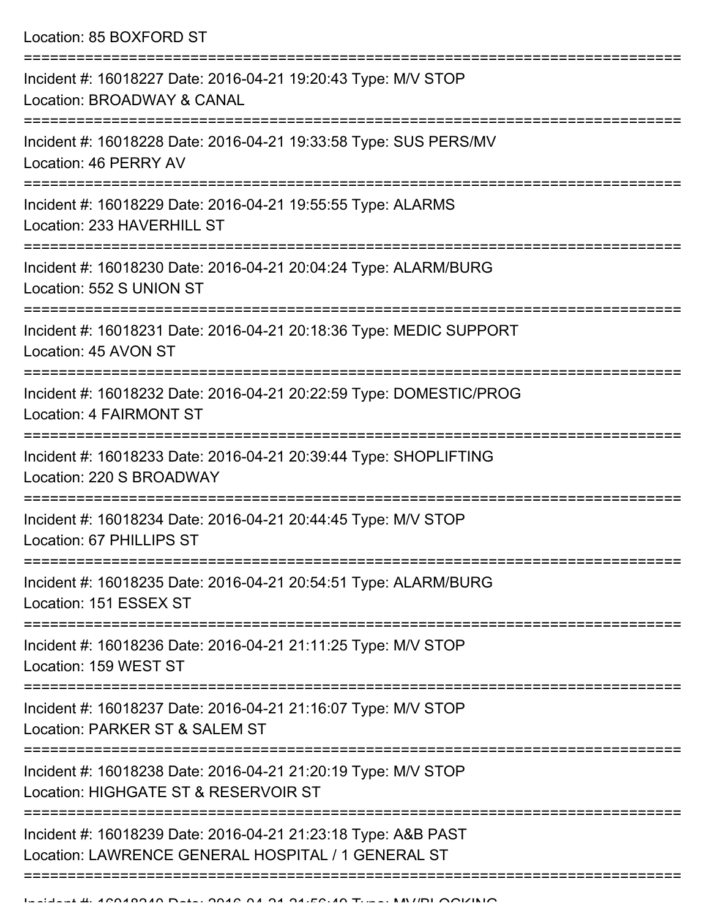Location: 85 BOXFORD ST

| Incident #: 16018227 Date: 2016-04-21 19:20:43 Type: M/V STOP<br>Location: BROADWAY & CANAL                         |
|---------------------------------------------------------------------------------------------------------------------|
| Incident #: 16018228 Date: 2016-04-21 19:33:58 Type: SUS PERS/MV<br>Location: 46 PERRY AV                           |
| Incident #: 16018229 Date: 2016-04-21 19:55:55 Type: ALARMS<br>Location: 233 HAVERHILL ST                           |
| Incident #: 16018230 Date: 2016-04-21 20:04:24 Type: ALARM/BURG<br>Location: 552 S UNION ST                         |
| Incident #: 16018231 Date: 2016-04-21 20:18:36 Type: MEDIC SUPPORT<br>Location: 45 AVON ST                          |
| Incident #: 16018232 Date: 2016-04-21 20:22:59 Type: DOMESTIC/PROG<br><b>Location: 4 FAIRMONT ST</b>                |
| Incident #: 16018233 Date: 2016-04-21 20:39:44 Type: SHOPLIFTING<br>Location: 220 S BROADWAY                        |
| Incident #: 16018234 Date: 2016-04-21 20:44:45 Type: M/V STOP<br>Location: 67 PHILLIPS ST                           |
| Incident #: 16018235 Date: 2016-04-21 20:54:51 Type: ALARM/BURG<br>Location: 151 ESSEX ST                           |
| Incident #: 16018236 Date: 2016-04-21 21:11:25 Type: M/V STOP<br>Location: 159 WEST ST                              |
| Incident #: 16018237 Date: 2016-04-21 21:16:07 Type: M/V STOP<br>Location: PARKER ST & SALEM ST                     |
| Incident #: 16018238 Date: 2016-04-21 21:20:19 Type: M/V STOP<br>Location: HIGHGATE ST & RESERVOIR ST               |
| Incident #: 16018239 Date: 2016-04-21 21:23:18 Type: A&B PAST<br>Location: LAWRENCE GENERAL HOSPITAL / 1 GENERAL ST |
|                                                                                                                     |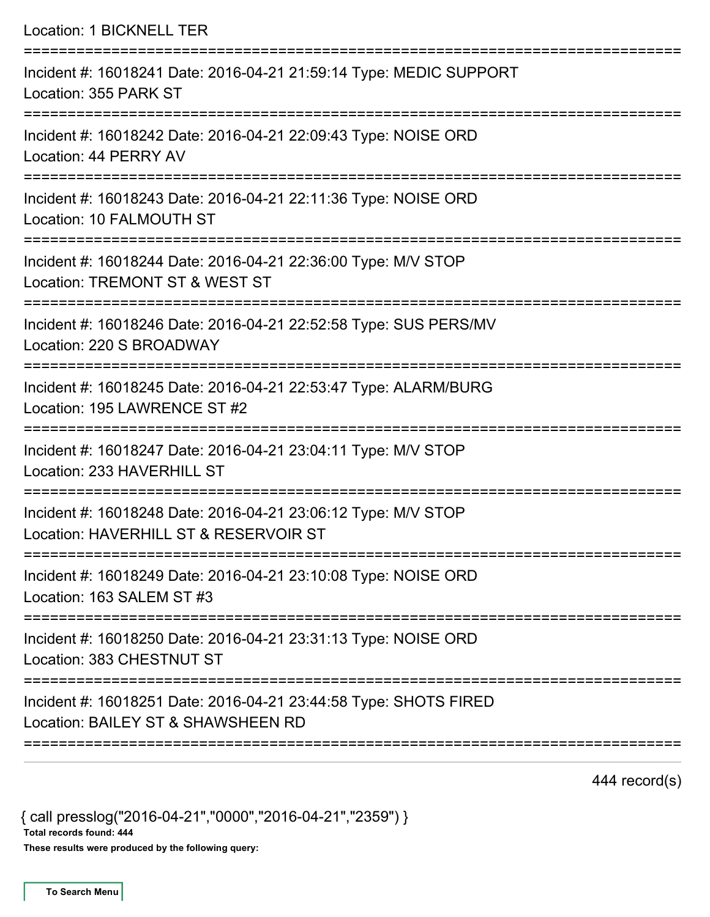Location: 1 BICKNELL TER =========================================================================== Incident #: 16018241 Date: 2016-04-21 21:59:14 Type: MEDIC SUPPORT Location: 355 PARK ST =========================================================================== Incident #: 16018242 Date: 2016-04-21 22:09:43 Type: NOISE ORD Location: 44 PERRY AV =========================================================================== Incident #: 16018243 Date: 2016-04-21 22:11:36 Type: NOISE ORD Location: 10 FALMOUTH ST =========================================================================== Incident #: 16018244 Date: 2016-04-21 22:36:00 Type: M/V STOP Location: TREMONT ST & WEST ST =========================================================================== Incident #: 16018246 Date: 2016-04-21 22:52:58 Type: SUS PERS/MV Location: 220 S BROADWAY =========================================================================== Incident #: 16018245 Date: 2016-04-21 22:53:47 Type: ALARM/BURG Location: 195 LAWRENCE ST #2 =========================================================================== Incident #: 16018247 Date: 2016-04-21 23:04:11 Type: M/V STOP Location: 233 HAVERHILL ST =========================================================================== Incident #: 16018248 Date: 2016-04-21 23:06:12 Type: M/V STOP Location: HAVERHILL ST & RESERVOIR ST =========================================================================== Incident #: 16018249 Date: 2016-04-21 23:10:08 Type: NOISE ORD Location: 163 SALEM ST #3 =========================================================================== Incident #: 16018250 Date: 2016-04-21 23:31:13 Type: NOISE ORD Location: 383 CHESTNUT ST =========================================================================== Incident #: 16018251 Date: 2016-04-21 23:44:58 Type: SHOTS FIRED Location: BAILEY ST & SHAWSHEEN RD ===========================================================================

444 record(s)

{ call presslog("2016-04-21","0000","2016-04-21","2359") }

Total records found: 444

These results were produced by the following query: